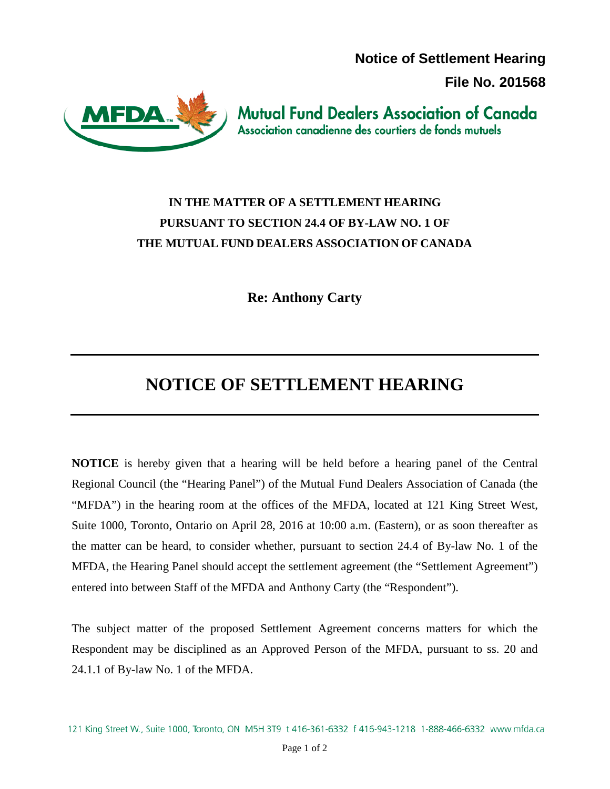**Notice of Settlement Hearing** 

**File No. 201568**



**Mutual Fund Dealers Association of Canada** Association canadienne des courtiers de fonds mutuels

## **IN THE MATTER OF A SETTLEMENT HEARING PURSUANT TO SECTION 24.4 OF BY-LAW NO. 1 OF THE MUTUAL FUND DEALERS ASSOCIATION OF CANADA**

**Re: Anthony Carty**

## **NOTICE OF SETTLEMENT HEARING**

**NOTICE** is hereby given that a hearing will be held before a hearing panel of the Central Regional Council (the "Hearing Panel") of the Mutual Fund Dealers Association of Canada (the "MFDA") in the hearing room at the offices of the MFDA, located at 121 King Street West, Suite 1000, Toronto, Ontario on April 28, 2016 at 10:00 a.m. (Eastern), or as soon thereafter as the matter can be heard, to consider whether, pursuant to section 24.4 of By-law No. 1 of the MFDA, the Hearing Panel should accept the settlement agreement (the "Settlement Agreement") entered into between Staff of the MFDA and Anthony Carty (the "Respondent").

The subject matter of the proposed Settlement Agreement concerns matters for which the Respondent may be disciplined as an Approved Person of the MFDA, pursuant to ss. 20 and 24.1.1 of By-law No. 1 of the MFDA.